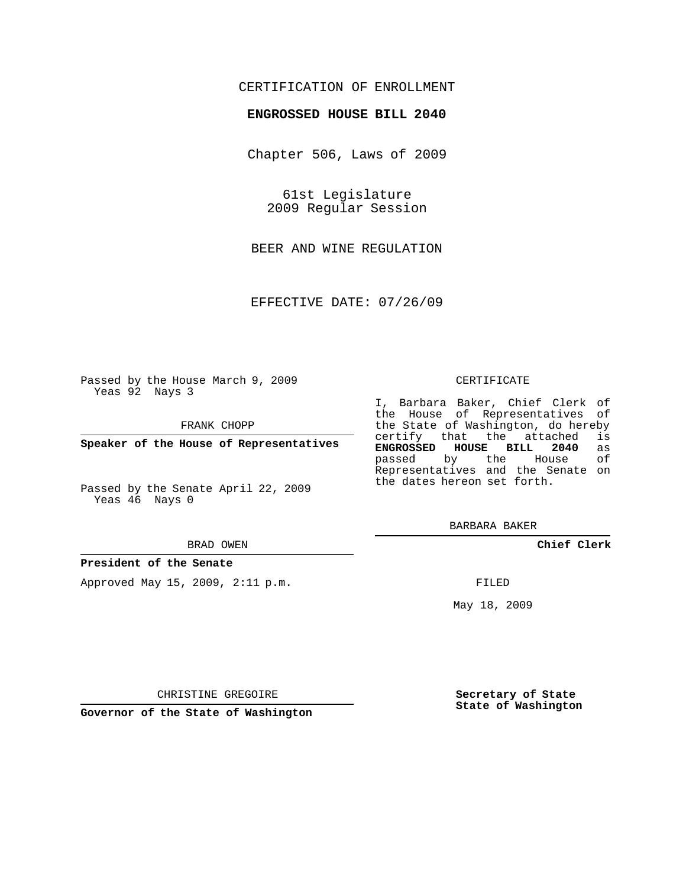## CERTIFICATION OF ENROLLMENT

### **ENGROSSED HOUSE BILL 2040**

Chapter 506, Laws of 2009

61st Legislature 2009 Regular Session

BEER AND WINE REGULATION

EFFECTIVE DATE: 07/26/09

Passed by the House March 9, 2009 Yeas 92 Nays 3

FRANK CHOPP

**Speaker of the House of Representatives**

Passed by the Senate April 22, 2009 Yeas 46 Nays 0

#### BRAD OWEN

#### **President of the Senate**

Approved May 15, 2009, 2:11 p.m.

#### CERTIFICATE

I, Barbara Baker, Chief Clerk of the House of Representatives of the State of Washington, do hereby<br>certify that the attached is certify that the attached **ENGROSSED HOUSE BILL 2040** as passed by the Representatives and the Senate on the dates hereon set forth.

BARBARA BAKER

**Chief Clerk**

FILED

May 18, 2009

**Secretary of State State of Washington**

CHRISTINE GREGOIRE

**Governor of the State of Washington**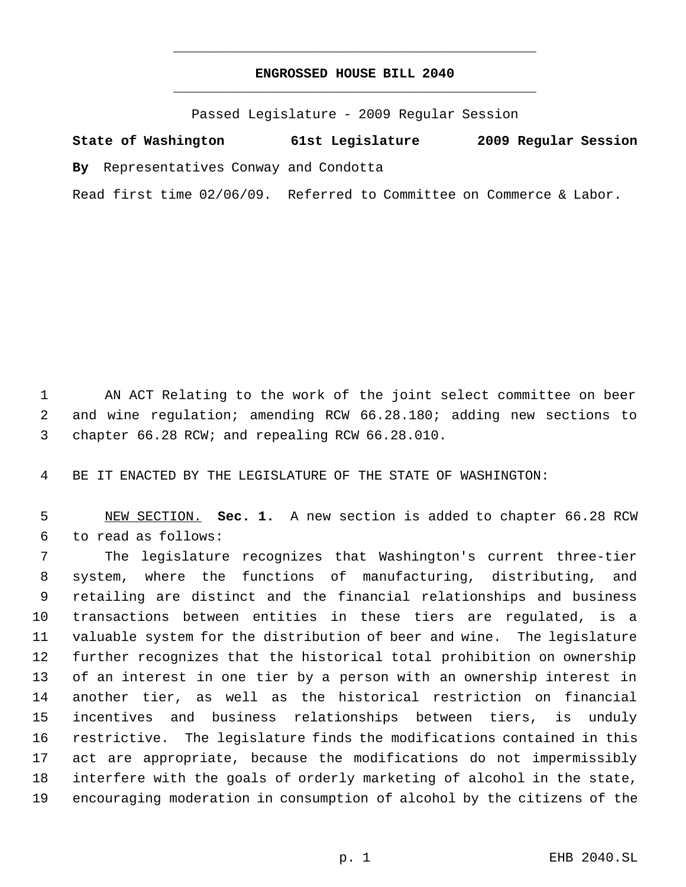# **ENGROSSED HOUSE BILL 2040** \_\_\_\_\_\_\_\_\_\_\_\_\_\_\_\_\_\_\_\_\_\_\_\_\_\_\_\_\_\_\_\_\_\_\_\_\_\_\_\_\_\_\_\_\_

\_\_\_\_\_\_\_\_\_\_\_\_\_\_\_\_\_\_\_\_\_\_\_\_\_\_\_\_\_\_\_\_\_\_\_\_\_\_\_\_\_\_\_\_\_

Passed Legislature - 2009 Regular Session

**State of Washington 61st Legislature 2009 Regular Session By** Representatives Conway and Condotta Read first time 02/06/09. Referred to Committee on Commerce & Labor.

 AN ACT Relating to the work of the joint select committee on beer and wine regulation; amending RCW 66.28.180; adding new sections to chapter 66.28 RCW; and repealing RCW 66.28.010.

BE IT ENACTED BY THE LEGISLATURE OF THE STATE OF WASHINGTON:

 NEW SECTION. **Sec. 1.** A new section is added to chapter 66.28 RCW to read as follows:

 The legislature recognizes that Washington's current three-tier system, where the functions of manufacturing, distributing, and retailing are distinct and the financial relationships and business transactions between entities in these tiers are regulated, is a valuable system for the distribution of beer and wine. The legislature further recognizes that the historical total prohibition on ownership of an interest in one tier by a person with an ownership interest in another tier, as well as the historical restriction on financial incentives and business relationships between tiers, is unduly restrictive. The legislature finds the modifications contained in this act are appropriate, because the modifications do not impermissibly interfere with the goals of orderly marketing of alcohol in the state, encouraging moderation in consumption of alcohol by the citizens of the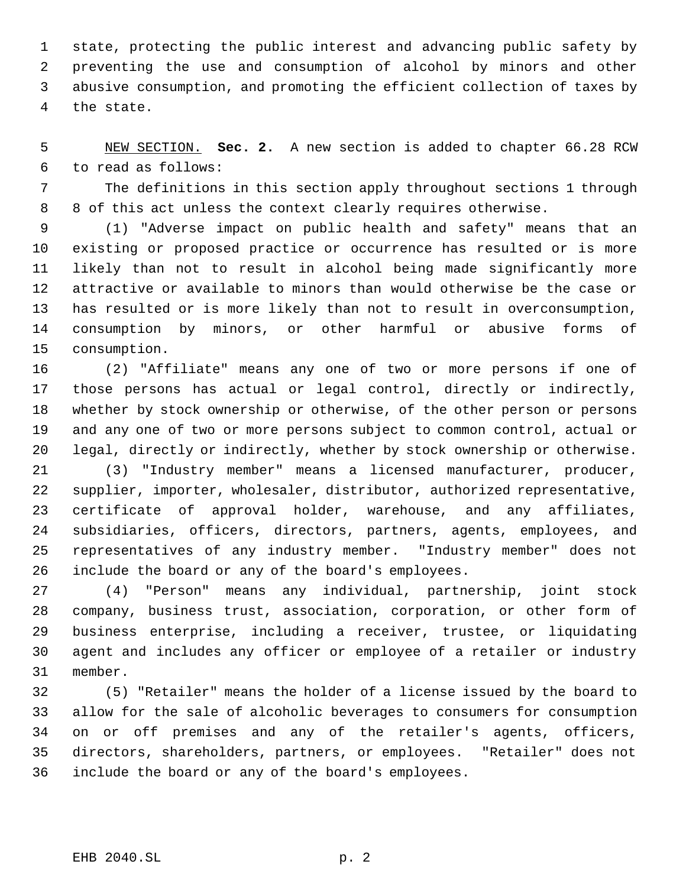state, protecting the public interest and advancing public safety by preventing the use and consumption of alcohol by minors and other abusive consumption, and promoting the efficient collection of taxes by the state.

 NEW SECTION. **Sec. 2.** A new section is added to chapter 66.28 RCW to read as follows:

 The definitions in this section apply throughout sections 1 through 8 of this act unless the context clearly requires otherwise.

 (1) "Adverse impact on public health and safety" means that an existing or proposed practice or occurrence has resulted or is more likely than not to result in alcohol being made significantly more attractive or available to minors than would otherwise be the case or has resulted or is more likely than not to result in overconsumption, consumption by minors, or other harmful or abusive forms of consumption.

 (2) "Affiliate" means any one of two or more persons if one of those persons has actual or legal control, directly or indirectly, whether by stock ownership or otherwise, of the other person or persons and any one of two or more persons subject to common control, actual or legal, directly or indirectly, whether by stock ownership or otherwise.

 (3) "Industry member" means a licensed manufacturer, producer, supplier, importer, wholesaler, distributor, authorized representative, certificate of approval holder, warehouse, and any affiliates, subsidiaries, officers, directors, partners, agents, employees, and representatives of any industry member. "Industry member" does not include the board or any of the board's employees.

 (4) "Person" means any individual, partnership, joint stock company, business trust, association, corporation, or other form of business enterprise, including a receiver, trustee, or liquidating agent and includes any officer or employee of a retailer or industry member.

 (5) "Retailer" means the holder of a license issued by the board to allow for the sale of alcoholic beverages to consumers for consumption on or off premises and any of the retailer's agents, officers, directors, shareholders, partners, or employees. "Retailer" does not include the board or any of the board's employees.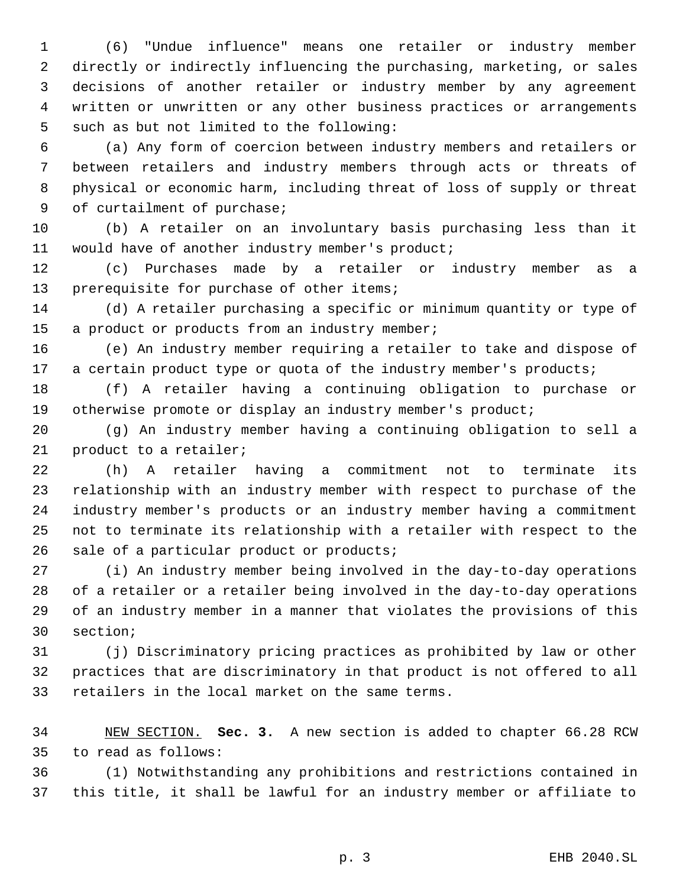(6) "Undue influence" means one retailer or industry member directly or indirectly influencing the purchasing, marketing, or sales decisions of another retailer or industry member by any agreement written or unwritten or any other business practices or arrangements such as but not limited to the following:

 (a) Any form of coercion between industry members and retailers or between retailers and industry members through acts or threats of physical or economic harm, including threat of loss of supply or threat of curtailment of purchase;

 (b) A retailer on an involuntary basis purchasing less than it would have of another industry member's product;

 (c) Purchases made by a retailer or industry member as a prerequisite for purchase of other items;

 (d) A retailer purchasing a specific or minimum quantity or type of 15 a product or products from an industry member;

 (e) An industry member requiring a retailer to take and dispose of 17 a certain product type or quota of the industry member's products;

 (f) A retailer having a continuing obligation to purchase or 19 otherwise promote or display an industry member's product;

 (g) An industry member having a continuing obligation to sell a product to a retailer;

 (h) A retailer having a commitment not to terminate its relationship with an industry member with respect to purchase of the industry member's products or an industry member having a commitment not to terminate its relationship with a retailer with respect to the sale of a particular product or products;

 (i) An industry member being involved in the day-to-day operations of a retailer or a retailer being involved in the day-to-day operations of an industry member in a manner that violates the provisions of this section;

 (j) Discriminatory pricing practices as prohibited by law or other practices that are discriminatory in that product is not offered to all retailers in the local market on the same terms.

 NEW SECTION. **Sec. 3.** A new section is added to chapter 66.28 RCW to read as follows:

 (1) Notwithstanding any prohibitions and restrictions contained in this title, it shall be lawful for an industry member or affiliate to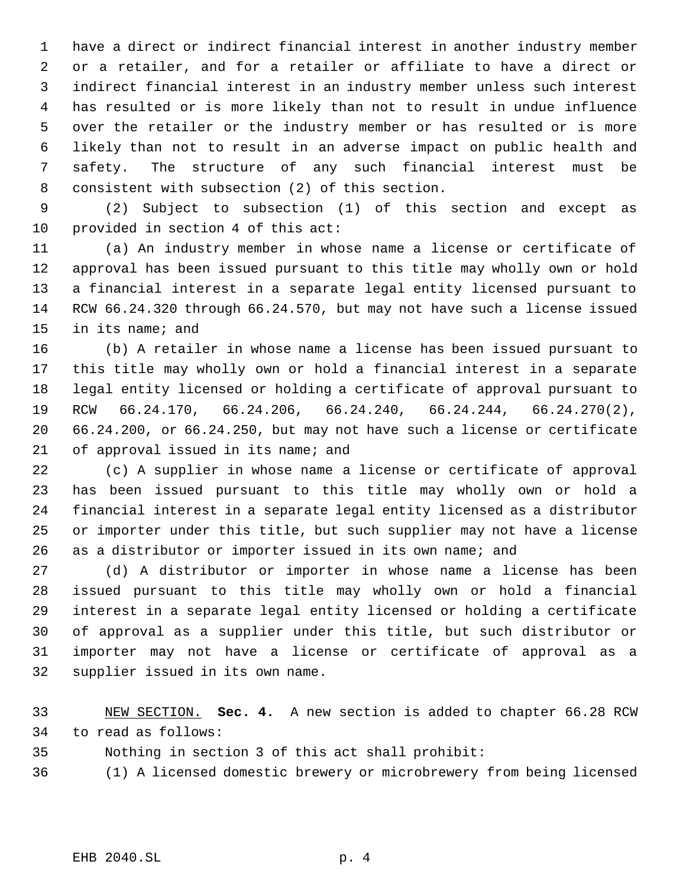have a direct or indirect financial interest in another industry member or a retailer, and for a retailer or affiliate to have a direct or indirect financial interest in an industry member unless such interest has resulted or is more likely than not to result in undue influence over the retailer or the industry member or has resulted or is more likely than not to result in an adverse impact on public health and safety. The structure of any such financial interest must be consistent with subsection (2) of this section.

 (2) Subject to subsection (1) of this section and except as provided in section 4 of this act:

 (a) An industry member in whose name a license or certificate of approval has been issued pursuant to this title may wholly own or hold a financial interest in a separate legal entity licensed pursuant to RCW 66.24.320 through 66.24.570, but may not have such a license issued in its name; and

 (b) A retailer in whose name a license has been issued pursuant to this title may wholly own or hold a financial interest in a separate legal entity licensed or holding a certificate of approval pursuant to RCW 66.24.170, 66.24.206, 66.24.240, 66.24.244, 66.24.270(2), 66.24.200, or 66.24.250, but may not have such a license or certificate 21 of approval issued in its name; and

 (c) A supplier in whose name a license or certificate of approval has been issued pursuant to this title may wholly own or hold a financial interest in a separate legal entity licensed as a distributor or importer under this title, but such supplier may not have a license as a distributor or importer issued in its own name; and

 (d) A distributor or importer in whose name a license has been issued pursuant to this title may wholly own or hold a financial interest in a separate legal entity licensed or holding a certificate of approval as a supplier under this title, but such distributor or importer may not have a license or certificate of approval as a supplier issued in its own name.

 NEW SECTION. **Sec. 4.** A new section is added to chapter 66.28 RCW to read as follows:

Nothing in section 3 of this act shall prohibit:

(1) A licensed domestic brewery or microbrewery from being licensed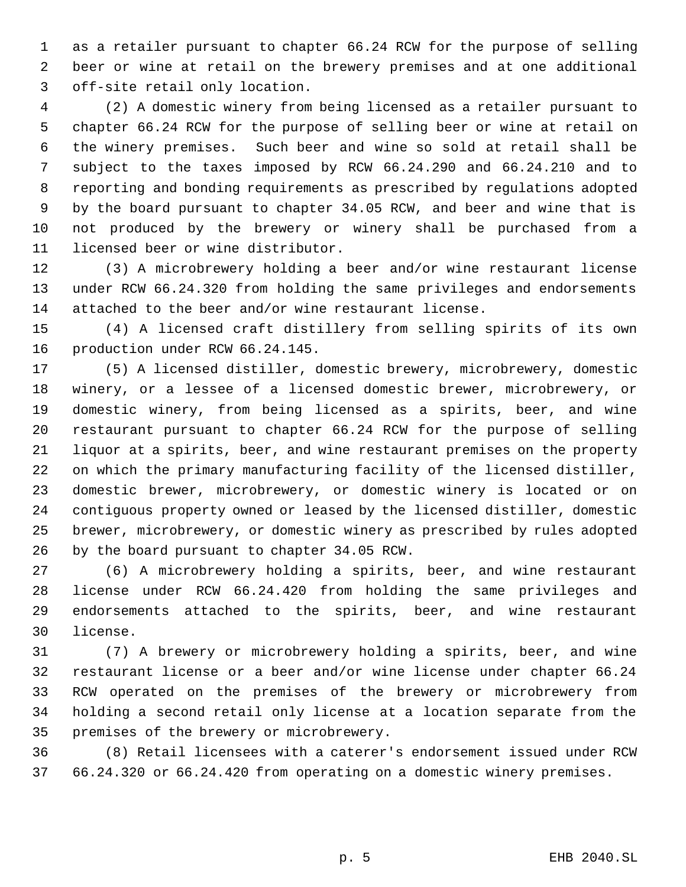as a retailer pursuant to chapter 66.24 RCW for the purpose of selling beer or wine at retail on the brewery premises and at one additional off-site retail only location.

 (2) A domestic winery from being licensed as a retailer pursuant to chapter 66.24 RCW for the purpose of selling beer or wine at retail on the winery premises. Such beer and wine so sold at retail shall be subject to the taxes imposed by RCW 66.24.290 and 66.24.210 and to reporting and bonding requirements as prescribed by regulations adopted by the board pursuant to chapter 34.05 RCW, and beer and wine that is not produced by the brewery or winery shall be purchased from a licensed beer or wine distributor.

 (3) A microbrewery holding a beer and/or wine restaurant license under RCW 66.24.320 from holding the same privileges and endorsements attached to the beer and/or wine restaurant license.

 (4) A licensed craft distillery from selling spirits of its own production under RCW 66.24.145.

 (5) A licensed distiller, domestic brewery, microbrewery, domestic winery, or a lessee of a licensed domestic brewer, microbrewery, or domestic winery, from being licensed as a spirits, beer, and wine restaurant pursuant to chapter 66.24 RCW for the purpose of selling liquor at a spirits, beer, and wine restaurant premises on the property on which the primary manufacturing facility of the licensed distiller, domestic brewer, microbrewery, or domestic winery is located or on contiguous property owned or leased by the licensed distiller, domestic brewer, microbrewery, or domestic winery as prescribed by rules adopted by the board pursuant to chapter 34.05 RCW.

 (6) A microbrewery holding a spirits, beer, and wine restaurant license under RCW 66.24.420 from holding the same privileges and endorsements attached to the spirits, beer, and wine restaurant license.

 (7) A brewery or microbrewery holding a spirits, beer, and wine restaurant license or a beer and/or wine license under chapter 66.24 RCW operated on the premises of the brewery or microbrewery from holding a second retail only license at a location separate from the premises of the brewery or microbrewery.

 (8) Retail licensees with a caterer's endorsement issued under RCW 66.24.320 or 66.24.420 from operating on a domestic winery premises.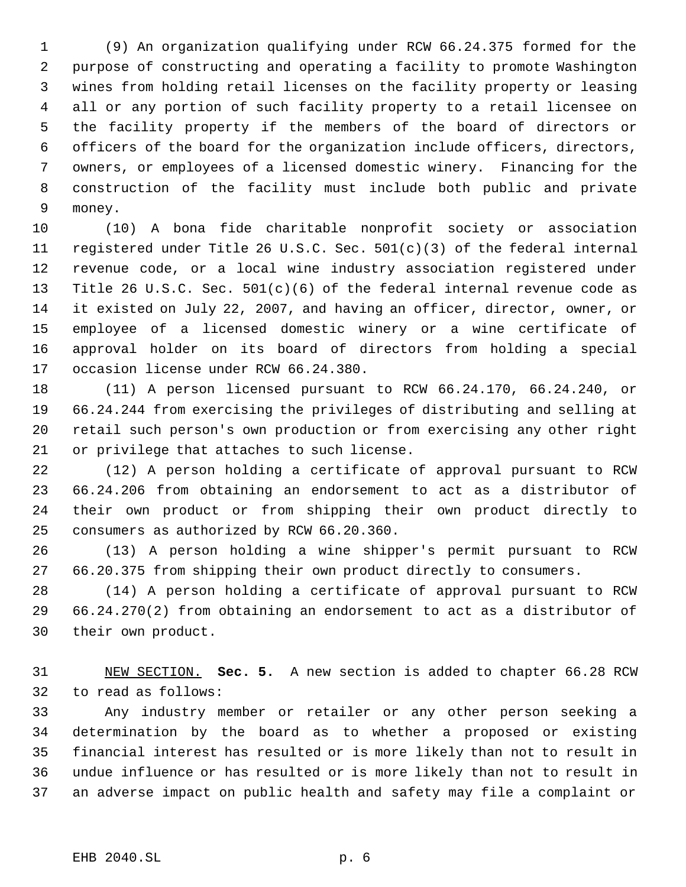(9) An organization qualifying under RCW 66.24.375 formed for the purpose of constructing and operating a facility to promote Washington wines from holding retail licenses on the facility property or leasing all or any portion of such facility property to a retail licensee on the facility property if the members of the board of directors or officers of the board for the organization include officers, directors, owners, or employees of a licensed domestic winery. Financing for the construction of the facility must include both public and private money.

 (10) A bona fide charitable nonprofit society or association registered under Title 26 U.S.C. Sec. 501(c)(3) of the federal internal revenue code, or a local wine industry association registered under Title 26 U.S.C. Sec. 501(c)(6) of the federal internal revenue code as it existed on July 22, 2007, and having an officer, director, owner, or employee of a licensed domestic winery or a wine certificate of approval holder on its board of directors from holding a special occasion license under RCW 66.24.380.

 (11) A person licensed pursuant to RCW 66.24.170, 66.24.240, or 66.24.244 from exercising the privileges of distributing and selling at retail such person's own production or from exercising any other right or privilege that attaches to such license.

 (12) A person holding a certificate of approval pursuant to RCW 66.24.206 from obtaining an endorsement to act as a distributor of their own product or from shipping their own product directly to consumers as authorized by RCW 66.20.360.

 (13) A person holding a wine shipper's permit pursuant to RCW 66.20.375 from shipping their own product directly to consumers.

 (14) A person holding a certificate of approval pursuant to RCW 66.24.270(2) from obtaining an endorsement to act as a distributor of their own product.

 NEW SECTION. **Sec. 5.** A new section is added to chapter 66.28 RCW to read as follows:

 Any industry member or retailer or any other person seeking a determination by the board as to whether a proposed or existing financial interest has resulted or is more likely than not to result in undue influence or has resulted or is more likely than not to result in an adverse impact on public health and safety may file a complaint or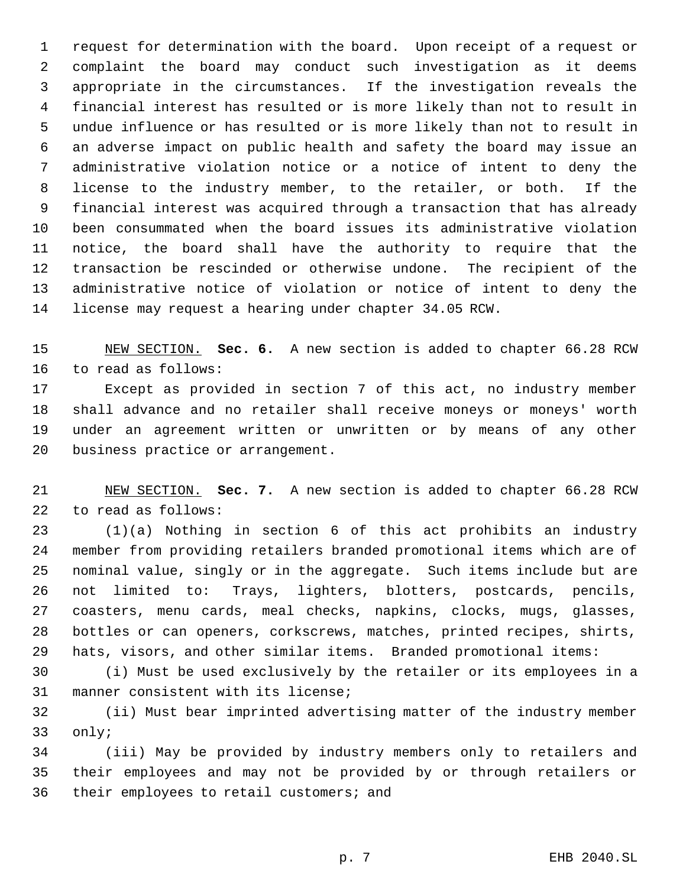request for determination with the board. Upon receipt of a request or complaint the board may conduct such investigation as it deems appropriate in the circumstances. If the investigation reveals the financial interest has resulted or is more likely than not to result in undue influence or has resulted or is more likely than not to result in an adverse impact on public health and safety the board may issue an administrative violation notice or a notice of intent to deny the license to the industry member, to the retailer, or both. If the financial interest was acquired through a transaction that has already been consummated when the board issues its administrative violation notice, the board shall have the authority to require that the transaction be rescinded or otherwise undone. The recipient of the administrative notice of violation or notice of intent to deny the license may request a hearing under chapter 34.05 RCW.

 NEW SECTION. **Sec. 6.** A new section is added to chapter 66.28 RCW to read as follows:

 Except as provided in section 7 of this act, no industry member shall advance and no retailer shall receive moneys or moneys' worth under an agreement written or unwritten or by means of any other business practice or arrangement.

 NEW SECTION. **Sec. 7.** A new section is added to chapter 66.28 RCW to read as follows:

 (1)(a) Nothing in section 6 of this act prohibits an industry member from providing retailers branded promotional items which are of nominal value, singly or in the aggregate. Such items include but are not limited to: Trays, lighters, blotters, postcards, pencils, coasters, menu cards, meal checks, napkins, clocks, mugs, glasses, bottles or can openers, corkscrews, matches, printed recipes, shirts, hats, visors, and other similar items. Branded promotional items:

 (i) Must be used exclusively by the retailer or its employees in a manner consistent with its license;

 (ii) Must bear imprinted advertising matter of the industry member only;

 (iii) May be provided by industry members only to retailers and their employees and may not be provided by or through retailers or their employees to retail customers; and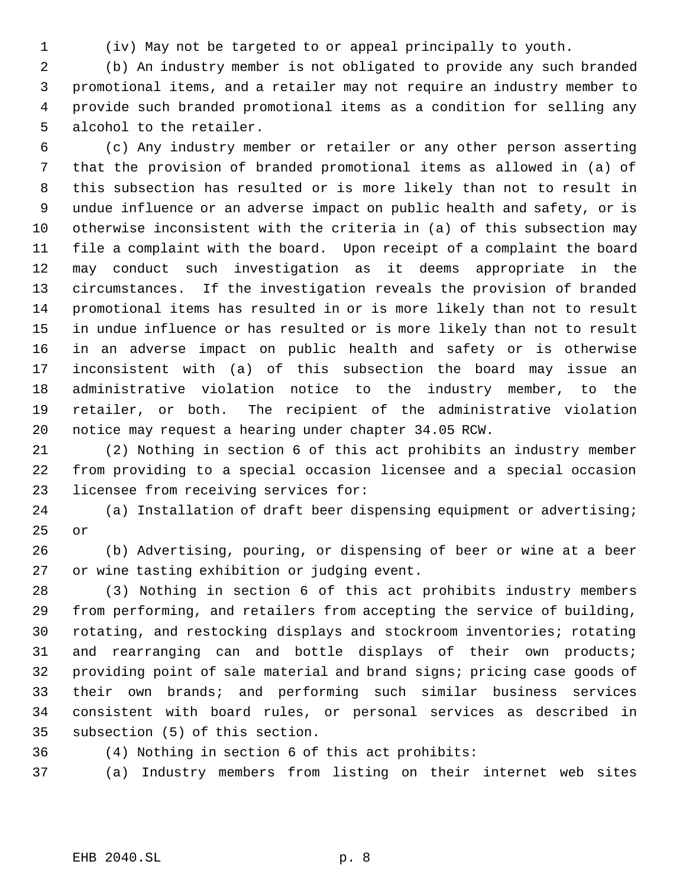(iv) May not be targeted to or appeal principally to youth.

 (b) An industry member is not obligated to provide any such branded promotional items, and a retailer may not require an industry member to provide such branded promotional items as a condition for selling any alcohol to the retailer.

 (c) Any industry member or retailer or any other person asserting that the provision of branded promotional items as allowed in (a) of this subsection has resulted or is more likely than not to result in undue influence or an adverse impact on public health and safety, or is otherwise inconsistent with the criteria in (a) of this subsection may file a complaint with the board. Upon receipt of a complaint the board may conduct such investigation as it deems appropriate in the circumstances. If the investigation reveals the provision of branded promotional items has resulted in or is more likely than not to result in undue influence or has resulted or is more likely than not to result in an adverse impact on public health and safety or is otherwise inconsistent with (a) of this subsection the board may issue an administrative violation notice to the industry member, to the retailer, or both. The recipient of the administrative violation notice may request a hearing under chapter 34.05 RCW.

 (2) Nothing in section 6 of this act prohibits an industry member from providing to a special occasion licensee and a special occasion licensee from receiving services for:

 (a) Installation of draft beer dispensing equipment or advertising; or

 (b) Advertising, pouring, or dispensing of beer or wine at a beer or wine tasting exhibition or judging event.

 (3) Nothing in section 6 of this act prohibits industry members from performing, and retailers from accepting the service of building, rotating, and restocking displays and stockroom inventories; rotating and rearranging can and bottle displays of their own products; providing point of sale material and brand signs; pricing case goods of their own brands; and performing such similar business services consistent with board rules, or personal services as described in subsection (5) of this section.

(4) Nothing in section 6 of this act prohibits:

(a) Industry members from listing on their internet web sites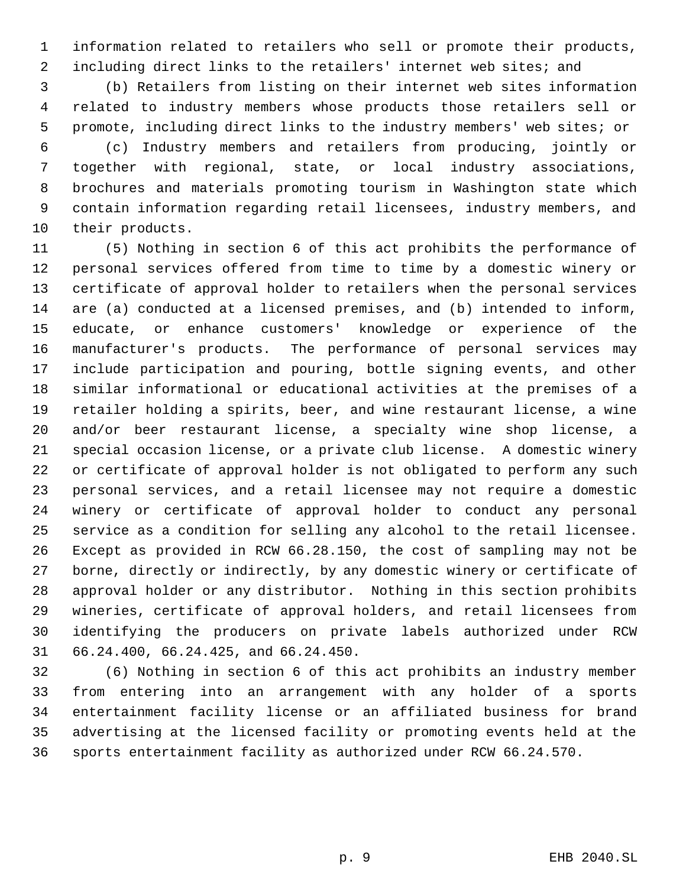information related to retailers who sell or promote their products, including direct links to the retailers' internet web sites; and

 (b) Retailers from listing on their internet web sites information related to industry members whose products those retailers sell or promote, including direct links to the industry members' web sites; or

 (c) Industry members and retailers from producing, jointly or together with regional, state, or local industry associations, brochures and materials promoting tourism in Washington state which contain information regarding retail licensees, industry members, and their products.

 (5) Nothing in section 6 of this act prohibits the performance of personal services offered from time to time by a domestic winery or certificate of approval holder to retailers when the personal services are (a) conducted at a licensed premises, and (b) intended to inform, educate, or enhance customers' knowledge or experience of the manufacturer's products. The performance of personal services may include participation and pouring, bottle signing events, and other similar informational or educational activities at the premises of a retailer holding a spirits, beer, and wine restaurant license, a wine and/or beer restaurant license, a specialty wine shop license, a special occasion license, or a private club license. A domestic winery or certificate of approval holder is not obligated to perform any such personal services, and a retail licensee may not require a domestic winery or certificate of approval holder to conduct any personal service as a condition for selling any alcohol to the retail licensee. Except as provided in RCW 66.28.150, the cost of sampling may not be borne, directly or indirectly, by any domestic winery or certificate of approval holder or any distributor. Nothing in this section prohibits wineries, certificate of approval holders, and retail licensees from identifying the producers on private labels authorized under RCW 66.24.400, 66.24.425, and 66.24.450.

 (6) Nothing in section 6 of this act prohibits an industry member from entering into an arrangement with any holder of a sports entertainment facility license or an affiliated business for brand advertising at the licensed facility or promoting events held at the sports entertainment facility as authorized under RCW 66.24.570.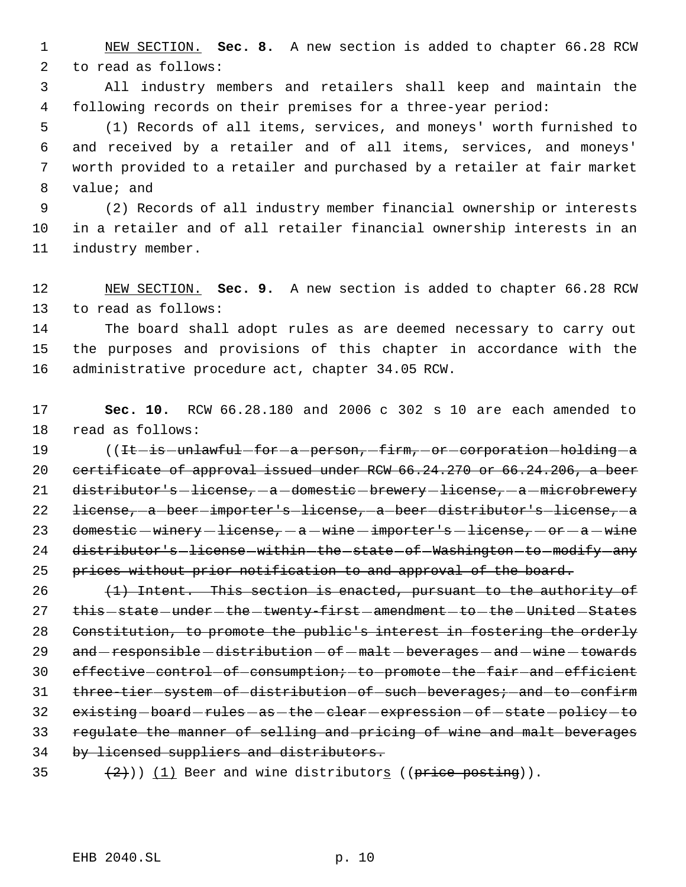NEW SECTION. **Sec. 8.** A new section is added to chapter 66.28 RCW to read as follows:

 All industry members and retailers shall keep and maintain the following records on their premises for a three-year period:

 (1) Records of all items, services, and moneys' worth furnished to and received by a retailer and of all items, services, and moneys' worth provided to a retailer and purchased by a retailer at fair market value; and

 (2) Records of all industry member financial ownership or interests in a retailer and of all retailer financial ownership interests in an industry member.

 NEW SECTION. **Sec. 9.** A new section is added to chapter 66.28 RCW to read as follows:

 The board shall adopt rules as are deemed necessary to carry out the purposes and provisions of this chapter in accordance with the administrative procedure act, chapter 34.05 RCW.

 **Sec. 10.** RCW 66.28.180 and 2006 c 302 s 10 are each amended to read as follows:

19 ((It-is-unlawful-for-a-person,-firm,-or-corporation-holding-a certificate of approval issued under RCW 66.24.270 or 66.24.206, a beer 21 distributor's-license, - a -domestic - brewery - license, - a - microbrewery 22 <del>license, a beer importer's license, a beer distributor's license, a</del> 23 domestic  $-winery - 1icense, -a - wine - imperter's - 1icense, -or -a - wine$ 24 distributor's-license-within-the-state-of-Washington-to-modify-any 25 prices without prior notification to and approval of the board.

 (1) Intent. This section is enacted, pursuant to the authority of 27 this -state -under -the -twenty-first -amendment -to -the -United -States Constitution, to promote the public's interest in fostering the orderly 29 and - responsible - distribution - of - malt - beverages - and - wine - towards 30 effective-control-of-consumption; to-promote-the-fair-and-efficient 31 three-tier-system-of-distribution-of-such-beverages; and to confirm 32 existing - board - rules - as - the - clear - expression - of - state - policy - to regulate the manner of selling and pricing of wine and malt beverages by licensed suppliers and distributors.

35  $(2)$ )) (1) Beer and wine distributors ((price posting)).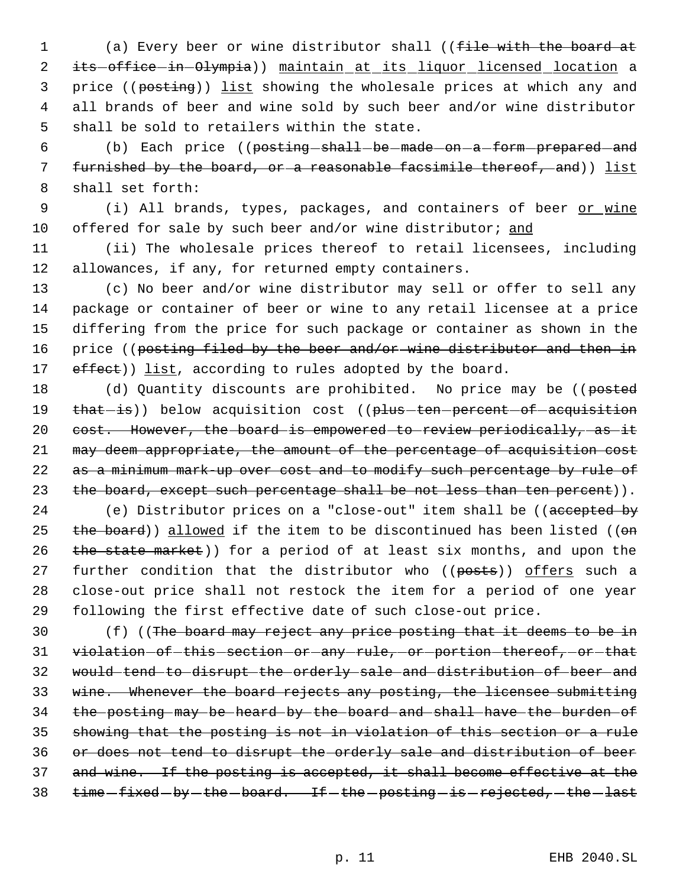1 (a) Every beer or wine distributor shall ((file with the board at 2 its-office-in-Olympia)) maintain at its liquor licensed location a 3 price ((posting)) list showing the wholesale prices at which any and 4 all brands of beer and wine sold by such beer and/or wine distributor 5 shall be sold to retailers within the state.

6 (b) Each price ((posting shall be made on a form prepared and 7 furnished by the board, or a reasonable facsimile thereof, and)) list 8 shall set forth:

9 (i) All brands, types, packages, and containers of beer or wine 10 offered for sale by such beer and/or wine distributor; and

11 (ii) The wholesale prices thereof to retail licensees, including 12 allowances, if any, for returned empty containers.

13 (c) No beer and/or wine distributor may sell or offer to sell any 14 package or container of beer or wine to any retail licensee at a price 15 differing from the price for such package or container as shown in the 16 price ((posting filed by the beer and/or-wine distributor and then in 17 effect)) list, according to rules adopted by the board.

18 (d) Quantity discounts are prohibited. No price may be ((posted 19 that-is)) below acquisition cost ((plus-ten-percent-of-acquisition 20 cost. However, the board is empowered to review periodically, as it 21 may deem appropriate, the amount of the percentage of acquisition cost 22 as a minimum mark-up over cost and to modify such percentage by rule of 23 the board, except such percentage shall be not less than ten percent)).

24 (e) Distributor prices on a "close-out" item shall be ((accepted by 25 the board)) allowed if the item to be discontinued has been listed ((on 26 the state market)) for a period of at least six months, and upon the 27 further condition that the distributor who ((posts)) offers such a 28 close-out price shall not restock the item for a period of one year 29 following the first effective date of such close-out price.

30 (f) ((The board may reject any price posting that it deems to be in 31 violation of this section or any rule, or portion thereof, or that would tend to disrupt the orderly sale and distribution of beer and wine. Whenever the board rejects any posting, the licensee submitting the posting may be heard by the board and shall have the burden of showing that the posting is not in violation of this section or a rule or does not tend to disrupt the orderly sale and distribution of beer and wine. If the posting is accepted, it shall become effective at the 38 time fixed - by - the - board. If - the - posting - is - rejected, - the - last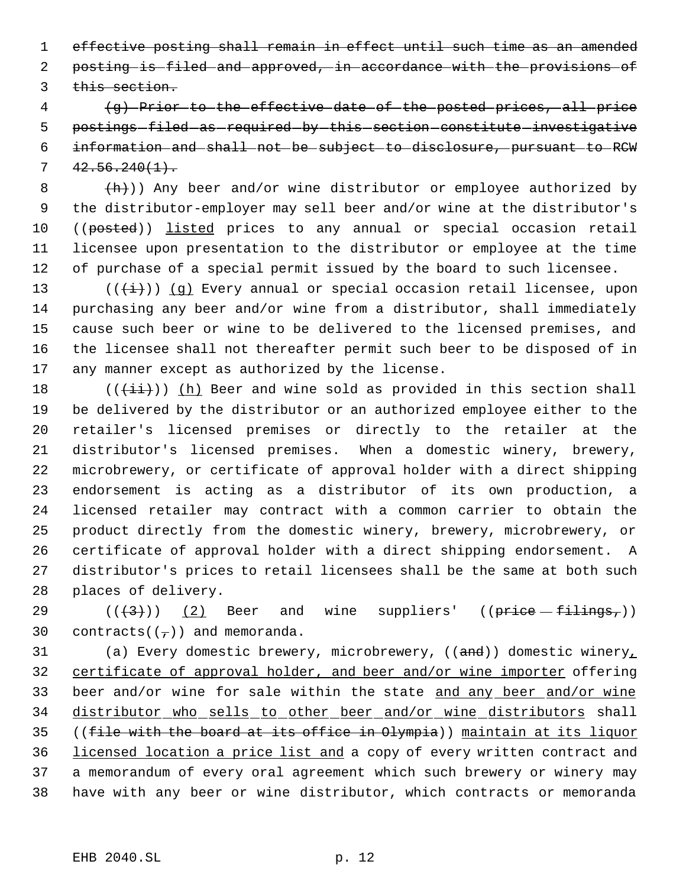effective posting shall remain in effect until such time as an amended posting is filed and approved, in accordance with the provisions of 3 this section.

 (g) Prior to the effective date of the posted prices, all price 5 postings-filed as required by this section constitute investigative information and shall not be subject to disclosure, pursuant to RCW  $7 \quad 42.56.240(1).$ 

 $+h)$ ) Any beer and/or wine distributor or employee authorized by the distributor-employer may sell beer and/or wine at the distributor's 10 ((posted)) listed prices to any annual or special occasion retail licensee upon presentation to the distributor or employee at the time of purchase of a special permit issued by the board to such licensee.

13 ( $(\frac{1}{1})$ ) (g) Every annual or special occasion retail licensee, upon purchasing any beer and/or wine from a distributor, shall immediately cause such beer or wine to be delivered to the licensed premises, and the licensee shall not thereafter permit such beer to be disposed of in any manner except as authorized by the license.

 $((\overrightarrow{\pm i}))$  (h) Beer and wine sold as provided in this section shall be delivered by the distributor or an authorized employee either to the retailer's licensed premises or directly to the retailer at the distributor's licensed premises. When a domestic winery, brewery, microbrewery, or certificate of approval holder with a direct shipping endorsement is acting as a distributor of its own production, a licensed retailer may contract with a common carrier to obtain the product directly from the domestic winery, brewery, microbrewery, or certificate of approval holder with a direct shipping endorsement. A distributor's prices to retail licensees shall be the same at both such places of delivery.

29  $((\langle 3 \rangle)(2)$  Beer and wine suppliers'  $((\text{price} - \text{fitings},))$ 30 contracts( $(\tau)$ ) and memoranda.

31 (a) Every domestic brewery, microbrewery,  $((and))$  domestic winery, 32 certificate of approval holder, and beer and/or wine importer offering 33 beer and/or wine for sale within the state and any beer and/or wine distributor who sells to other beer and/or wine distributors shall ((file with the board at its office in Olympia)) maintain at its liquor 36 licensed location a price list and a copy of every written contract and a memorandum of every oral agreement which such brewery or winery may have with any beer or wine distributor, which contracts or memoranda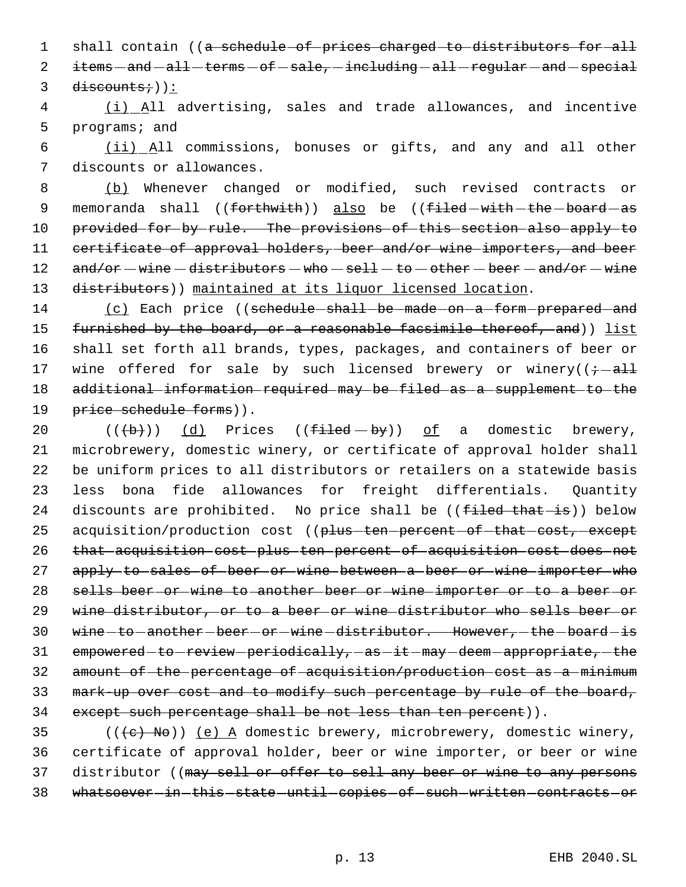1 shall contain ((a schedule of prices charged to distributors for all 2 items - and - all - terms - of - sale, - including - all - regular - and - special  $3$  discounts;)):

 4 (i) All advertising, sales and trade allowances, and incentive 5 programs; and

 6 (ii) All commissions, bonuses or gifts, and any and all other 7 discounts or allowances.

 (b) Whenever changed or modified, such revised contracts or 9 memoranda shall ((forthwith)) also be ((filed-with-the-board-as provided for by rule. The provisions of this section also apply to certificate of approval holders, beer and/or wine importers, and beer  $\text{and/or} - \text{where} - \text{distributions} - \text{which does not be a vector.}$ 13 distributors)) maintained at its liquor licensed location.

14 (c) Each price ((schedule shall be made on a form prepared and 15 furnished by the board, or a reasonable facsimile thereof, and)) list 16 shall set forth all brands, types, packages, and containers of beer or 17 wine offered for sale by such licensed brewery or winery( $\frac{1}{t}$  all 18 additional information required may be filed as a supplement to the 19 price schedule forms)).

20  $((+b))$   $(d)$  Prices  $((f+1cd - by))$  of a domestic brewery, 21 microbrewery, domestic winery, or certificate of approval holder shall 22 be uniform prices to all distributors or retailers on a statewide basis 23 less bona fide allowances for freight differentials. Quantity 24 discounts are prohibited. No price shall be ((filed that is)) below 25 acquisition/production cost ((plus-ten-percent-of-that-cost, except 26 that acquisition cost plus ten percent of acquisition cost does not 27 apply to sales of beer or wine between a beer or wine importer who 28 sells beer or wine to another beer or wine importer or to a beer or 29 wine distributor, or to a beer or wine distributor who sells beer or 30 wine-to-another-beer-or-wine-distributor. However, the board-is 31 empowered to review periodically, as it may deem appropriate, the 32 amount of the percentage of acquisition/production cost as a minimum 33 mark-up over cost and to modify such percentage by rule of the board, 34 except such percentage shall be not less than ten percent)).

35 ( $((e)$  No)) (e) A domestic brewery, microbrewery, domestic winery, 36 certificate of approval holder, beer or wine importer, or beer or wine 37 distributor ((may sell or offer to sell any beer or wine to any persons 38 whatsoever in this state until copies of such written contracts or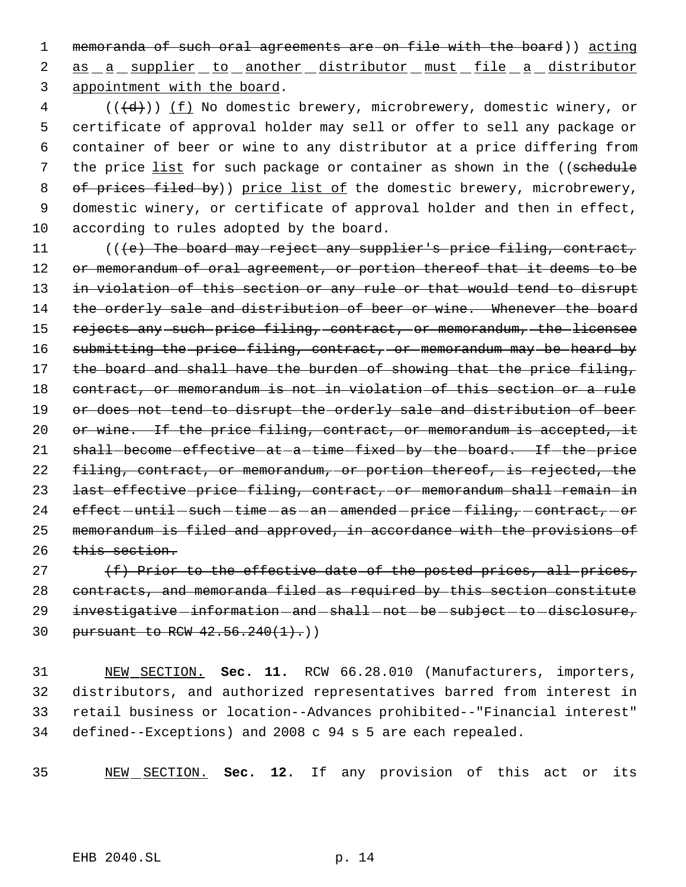1 memoranda of such oral agreements are on file with the board)) acting 2 as a supplier to another distributor must file a distributor 3 appointment with the board.

 (( $\overline{(\overline{d})}$ )) <u>(f)</u> No domestic brewery, microbrewery, domestic winery, or certificate of approval holder may sell or offer to sell any package or container of beer or wine to any distributor at a price differing from 7 the price list for such package or container as shown in the ((schedule 8 of prices filed by)) price list of the domestic brewery, microbrewery, domestic winery, or certificate of approval holder and then in effect, according to rules adopted by the board.

11 (((e) The board may reject any supplier's price filing, contract, 12 or memorandum of oral agreement, or portion thereof that it deems to be 13 in violation of this section or any rule or that would tend to disrupt 14 the orderly sale and distribution of beer or wine. Whenever the board 15 rejects any such price filing, contract, or memorandum, the licensee 16 submitting the price filing, contract, or memorandum may be heard by 17 the board and shall have the burden of showing that the price filing, 18 contract, or memorandum is not in violation of this section or a rule 19 or does not tend to disrupt the orderly sale and distribution of beer 20 or wine. If the price filing, contract, or memorandum is accepted, it 21 shall-become-effective-at-a-time-fixed-by-the-board. If-the-price 22 filing, contract, or memorandum, or portion thereof, is rejected, the 23 last effective price filing, contract, or memorandum shall remain in 24  $\text{effect}-\text{until}-\text{such}-\text{time}-\text{as}-\text{an}-\text{amended}-\text{price}-\text{filing}-\text{context}-\text{or}$ 25 memorandum is filed and approved, in accordance with the provisions of 26 this section.

27  $(f)$  Prior to the effective date of the posted prices, all prices, 28 contracts, and memoranda filed as required by this section constitute 29 investigative information - and - shall - not - be - subject - to - disclosure, 30 pursuant to RCW  $42.56.240(1)$ .)

 NEW SECTION. **Sec. 11.** RCW 66.28.010 (Manufacturers, importers, distributors, and authorized representatives barred from interest in retail business or location--Advances prohibited--"Financial interest" defined--Exceptions) and 2008 c 94 s 5 are each repealed.

35 NEW SECTION. **Sec. 12.** If any provision of this act or its